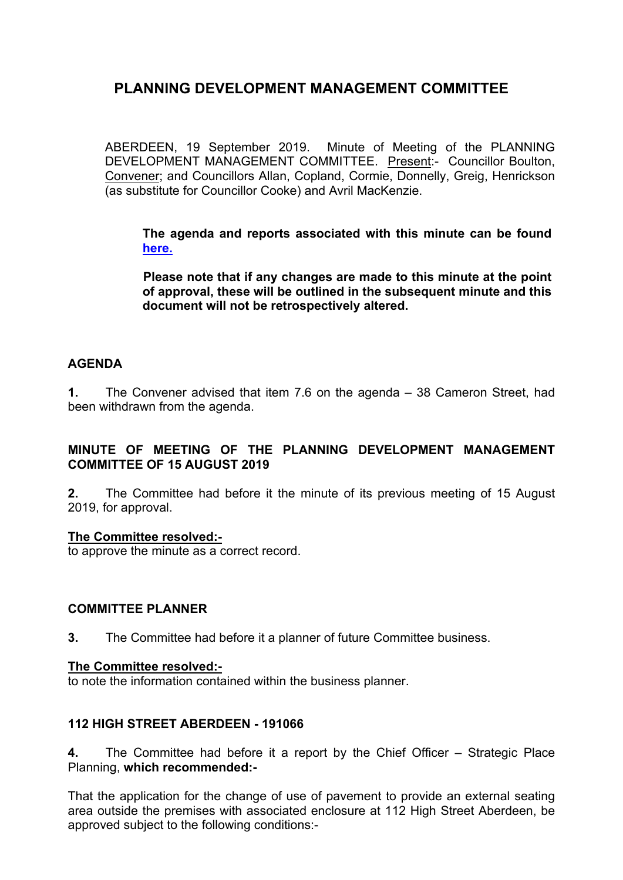ABERDEEN, 19 September 2019. Minute of Meeting of the PLANNING DEVELOPMENT MANAGEMENT COMMITTEE. Present:- Councillor Boulton, Convener; and Councillors Allan, Copland, Cormie, Donnelly, Greig, Henrickson (as substitute for Councillor Cooke) and Avril MacKenzie.

**The agenda and reports associated with this minute can be found [here.](https://committees.aberdeencity.gov.uk/ieListDocuments.aspx?CId=348&MId=6673&Ver=4)**

**Please note that if any changes are made to this minute at the point of approval, these will be outlined in the subsequent minute and this document will not be retrospectively altered.**

## **AGENDA**

**1.** The Convener advised that item 7.6 on the agenda – 38 Cameron Street, had been withdrawn from the agenda.

# **MINUTE OF MEETING OF THE PLANNING DEVELOPMENT MANAGEMENT COMMITTEE OF 15 AUGUST 2019**

**2.** The Committee had before it the minute of its previous meeting of 15 August 2019, for approval.

## **The Committee resolved:-**

to approve the minute as a correct record.

## **COMMITTEE PLANNER**

**3.** The Committee had before it a planner of future Committee business.

#### **The Committee resolved:-**

to note the information contained within the business planner.

## **112 HIGH STREET ABERDEEN - 191066**

**4.** The Committee had before it a report by the Chief Officer – Strategic Place Planning, **which recommended:-**

That the application for the change of use of pavement to provide an external seating area outside the premises with associated enclosure at 112 High Street Aberdeen, be approved subject to the following conditions:-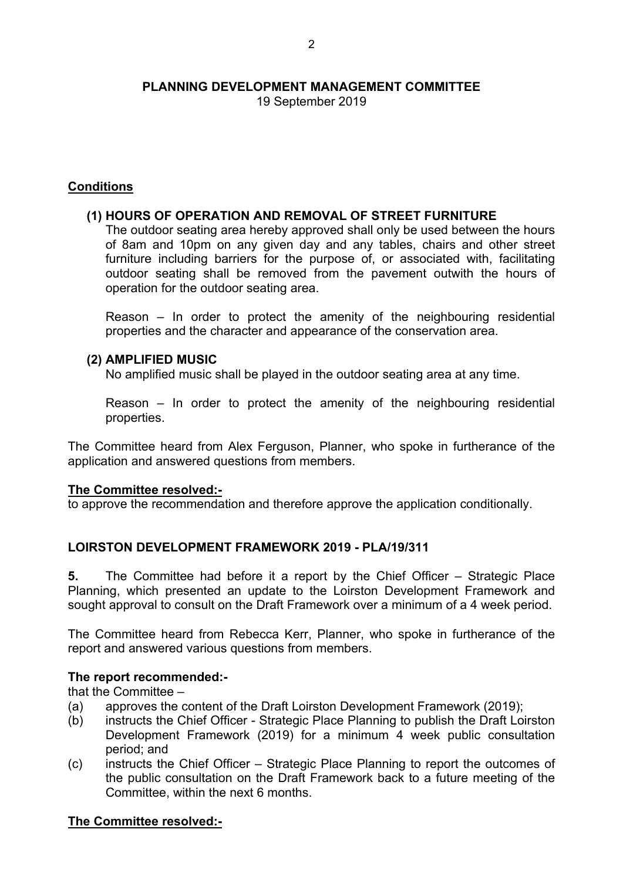19 September 2019

## **Conditions**

## **(1) HOURS OF OPERATION AND REMOVAL OF STREET FURNITURE**

The outdoor seating area hereby approved shall only be used between the hours of 8am and 10pm on any given day and any tables, chairs and other street furniture including barriers for the purpose of, or associated with, facilitating outdoor seating shall be removed from the pavement outwith the hours of operation for the outdoor seating area.

Reason – In order to protect the amenity of the neighbouring residential properties and the character and appearance of the conservation area.

## **(2) AMPLIFIED MUSIC**

No amplified music shall be played in the outdoor seating area at any time.

Reason – In order to protect the amenity of the neighbouring residential properties.

The Committee heard from Alex Ferguson, Planner, who spoke in furtherance of the application and answered questions from members.

## **The Committee resolved:-**

to approve the recommendation and therefore approve the application conditionally.

## **LOIRSTON DEVELOPMENT FRAMEWORK 2019 - PLA/19/311**

**5.** The Committee had before it a report by the Chief Officer – Strategic Place Planning, which presented an update to the Loirston Development Framework and sought approval to consult on the Draft Framework over a minimum of a 4 week period.

The Committee heard from Rebecca Kerr, Planner, who spoke in furtherance of the report and answered various questions from members.

## **The report recommended:-**

that the Committee –

- (a) approves the content of the Draft Loirston Development Framework (2019);
- (b) instructs the Chief Officer Strategic Place Planning to publish the Draft Loirston Development Framework (2019) for a minimum 4 week public consultation period; and
- (c) instructs the Chief Officer Strategic Place Planning to report the outcomes of the public consultation on the Draft Framework back to a future meeting of the Committee, within the next 6 months.

## **The Committee resolved:-**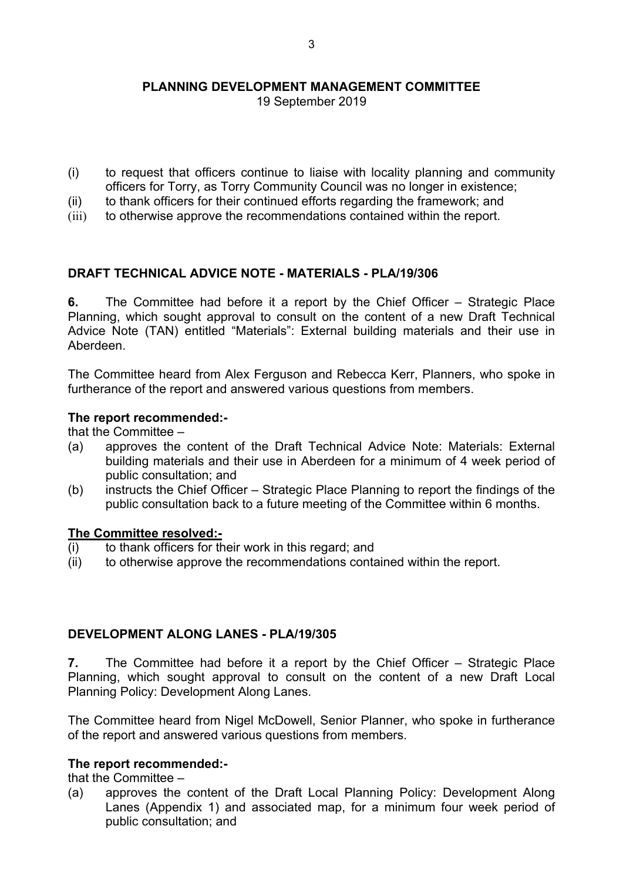19 September 2019

- (i) to request that officers continue to liaise with locality planning and community officers for Torry, as Torry Community Council was no longer in existence;
- (ii) to thank officers for their continued efforts regarding the framework; and
- (iii) to otherwise approve the recommendations contained within the report.

# **DRAFT TECHNICAL ADVICE NOTE - MATERIALS - PLA/19/306**

**6.** The Committee had before it a report by the Chief Officer – Strategic Place Planning, which sought approval to consult on the content of a new Draft Technical Advice Note (TAN) entitled "Materials": External building materials and their use in Aberdeen.

The Committee heard from Alex Ferguson and Rebecca Kerr, Planners, who spoke in furtherance of the report and answered various questions from members.

## **The report recommended:-**

that the Committee –

- (a) approves the content of the Draft Technical Advice Note: Materials: External building materials and their use in Aberdeen for a minimum of 4 week period of public consultation; and
- (b) instructs the Chief Officer Strategic Place Planning to report the findings of the public consultation back to a future meeting of the Committee within 6 months.

## **The Committee resolved:-**

- $(i)$  to thank officers for their work in this regard; and
- (ii) to otherwise approve the recommendations contained within the report.

## **DEVELOPMENT ALONG LANES - PLA/19/305**

**7.** The Committee had before it a report by the Chief Officer – Strategic Place Planning, which sought approval to consult on the content of a new Draft Local Planning Policy: Development Along Lanes.

The Committee heard from Nigel McDowell, Senior Planner, who spoke in furtherance of the report and answered various questions from members.

## **The report recommended:-**

that the Committee –

(a) approves the content of the Draft Local Planning Policy: Development Along Lanes (Appendix 1) and associated map, for a minimum four week period of public consultation; and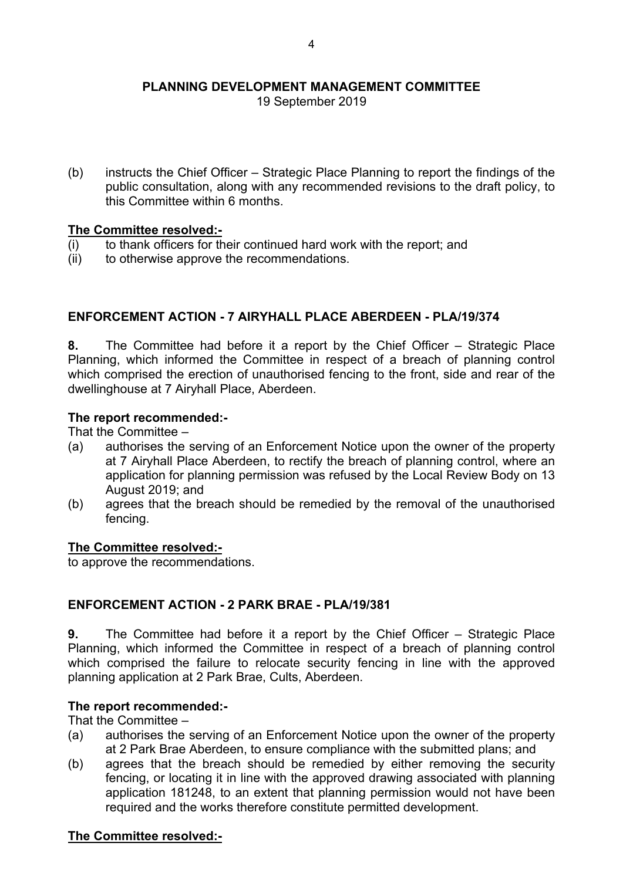19 September 2019

(b) instructs the Chief Officer – Strategic Place Planning to report the findings of the public consultation, along with any recommended revisions to the draft policy, to this Committee within 6 months.

## **The Committee resolved:-**

- $(i)$  to thank officers for their continued hard work with the report; and
- (ii) to otherwise approve the recommendations.

# **ENFORCEMENT ACTION - 7 AIRYHALL PLACE ABERDEEN - PLA/19/374**

**8.** The Committee had before it a report by the Chief Officer – Strategic Place Planning, which informed the Committee in respect of a breach of planning control which comprised the erection of unauthorised fencing to the front, side and rear of the dwellinghouse at 7 Airyhall Place, Aberdeen.

#### **The report recommended:-**

That the Committee –

- (a) authorises the serving of an Enforcement Notice upon the owner of the property at 7 Airyhall Place Aberdeen, to rectify the breach of planning control, where an application for planning permission was refused by the Local Review Body on 13 August 2019; and
- (b) agrees that the breach should be remedied by the removal of the unauthorised fencing.

#### **The Committee resolved:-**

to approve the recommendations.

## **ENFORCEMENT ACTION - 2 PARK BRAE - PLA/19/381**

**9.** The Committee had before it a report by the Chief Officer – Strategic Place Planning, which informed the Committee in respect of a breach of planning control which comprised the failure to relocate security fencing in line with the approved planning application at 2 Park Brae, Cults, Aberdeen.

#### **The report recommended:-**

That the Committee –

- (a) authorises the serving of an Enforcement Notice upon the owner of the property at 2 Park Brae Aberdeen, to ensure compliance with the submitted plans; and
- (b) agrees that the breach should be remedied by either removing the security fencing, or locating it in line with the approved drawing associated with planning application 181248, to an extent that planning permission would not have been required and the works therefore constitute permitted development.

#### **The Committee resolved:-**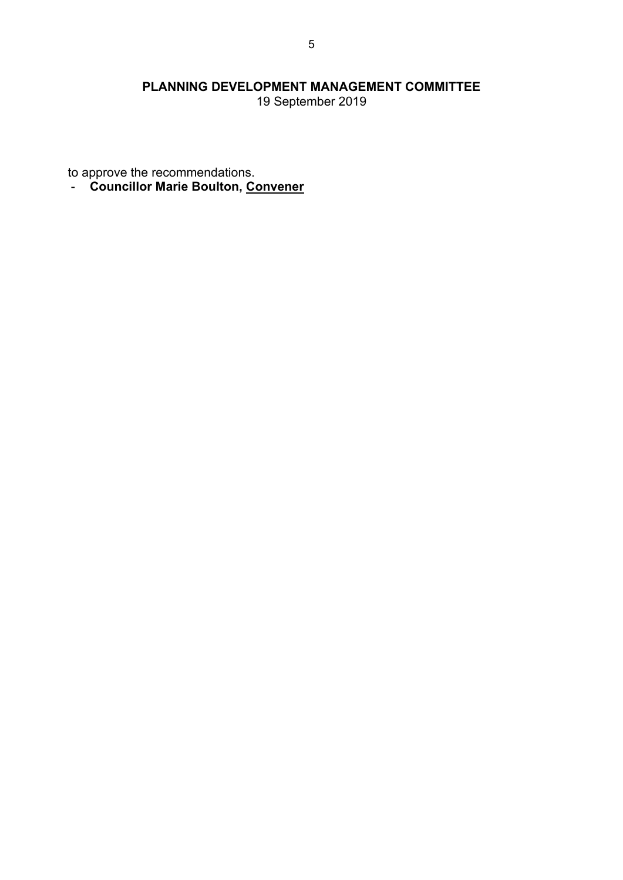19 September 2019

to approve the recommendations.

- **Councillor Marie Boulton, Convener**